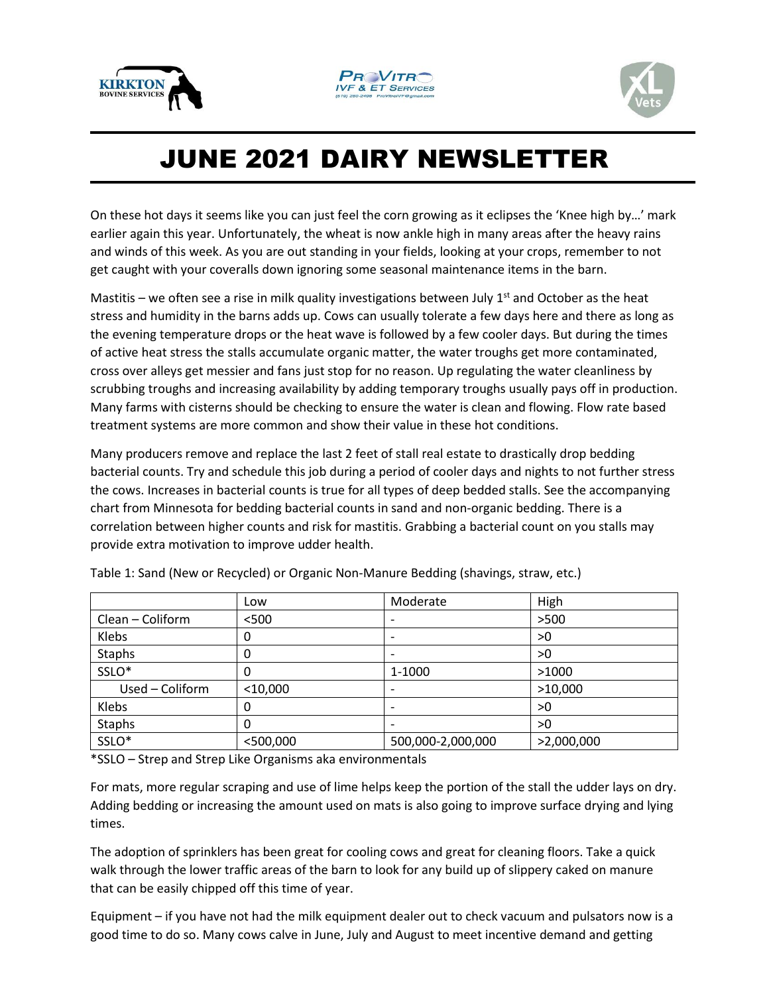





## JUNE 2021 DAIRY NEWSLETTER

On these hot days it seems like you can just feel the corn growing as it eclipses the 'Knee high by…' mark earlier again this year. Unfortunately, the wheat is now ankle high in many areas after the heavy rains and winds of this week. As you are out standing in your fields, looking at your crops, remember to not get caught with your coveralls down ignoring some seasonal maintenance items in the barn.

Mastitis – we often see a rise in milk quality investigations between July  $1<sup>st</sup>$  and October as the heat stress and humidity in the barns adds up. Cows can usually tolerate a few days here and there as long as the evening temperature drops or the heat wave is followed by a few cooler days. But during the times of active heat stress the stalls accumulate organic matter, the water troughs get more contaminated, cross over alleys get messier and fans just stop for no reason. Up regulating the water cleanliness by scrubbing troughs and increasing availability by adding temporary troughs usually pays off in production. Many farms with cisterns should be checking to ensure the water is clean and flowing. Flow rate based treatment systems are more common and show their value in these hot conditions.

Many producers remove and replace the last 2 feet of stall real estate to drastically drop bedding bacterial counts. Try and schedule this job during a period of cooler days and nights to not further stress the cows. Increases in bacterial counts is true for all types of deep bedded stalls. See the accompanying chart from Minnesota for bedding bacterial counts in sand and non-organic bedding. There is a correlation between higher counts and risk for mastitis. Grabbing a bacterial count on you stalls may provide extra motivation to improve udder health.

|                  | Low         | Moderate                 | High       |
|------------------|-------------|--------------------------|------------|
| Clean - Coliform | $<$ 500     | $\qquad \qquad$          | >500       |
| Klebs            | 0           | $\overline{\phantom{a}}$ | >0         |
| <b>Staphs</b>    | 0           | $\qquad \qquad$          | >0         |
| SSLO*            | 0           | 1-1000                   | >1000      |
| Used - Coliform  | $<$ 10,000  | $\qquad \qquad$          | >10,000    |
| Klebs            | 0           | $\overline{\phantom{a}}$ | >0         |
| Staphs           | O           | $\overline{\phantom{a}}$ | >0         |
| SSLO*            | $<$ 500,000 | 500,000-2,000,000        | >2,000,000 |

Table 1: Sand (New or Recycled) or Organic Non-Manure Bedding (shavings, straw, etc.)

\*SSLO – Strep and Strep Like Organisms aka environmentals

For mats, more regular scraping and use of lime helps keep the portion of the stall the udder lays on dry. Adding bedding or increasing the amount used on mats is also going to improve surface drying and lying times.

The adoption of sprinklers has been great for cooling cows and great for cleaning floors. Take a quick walk through the lower traffic areas of the barn to look for any build up of slippery caked on manure that can be easily chipped off this time of year.

Equipment – if you have not had the milk equipment dealer out to check vacuum and pulsators now is a good time to do so. Many cows calve in June, July and August to meet incentive demand and getting